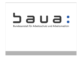# a U a Bundesanstalt für Arbeitsschutz und Arbeitsmedizin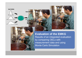





**Evaluation of the EMKG** Results of an integrated evaluation by comparing OELs with measurement data and using Monte Carlo Simulation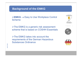# **Background of the EMKG**

¾**EMKG** → Easy to Use Workplace Control Scheme

**≻The EMKG is a generic risk assessment** scheme that is based on COSHH Essentials

**≻The EMKG takes into account the** requirements of the German Hazardous Substances Ordinance





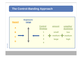# **The Control-Banding Approach**

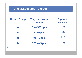# **Target Exposures - Vapour**

| <b>Hazard Group</b> | <b>Target exposure</b><br>range | <b>R-phrase</b><br>examples |
|---------------------|---------------------------------|-----------------------------|
| A                   | $50 - 500$ ppm                  | <b>R36</b>                  |
| B                   | 5 - 50 ppm                      | <b>R20</b>                  |
| C                   | $0.5 - 5$ ppm                   | <b>R23</b>                  |
|                     | $0.05 - 0.5$ ppm                | <b>R26</b>                  |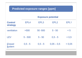| <b>Predicted exposure ranges [ppm]</b>       |                           |           |                  |        |  |
|----------------------------------------------|---------------------------|-----------|------------------|--------|--|
|                                              | <b>Exposure potential</b> |           |                  |        |  |
| <b>Control</b><br><b>strategy</b>            | EPL4                      | EPL3      | EPL <sub>2</sub> | EPL1   |  |
| ventilation                                  | >500                      | 50 - 500  | $5 - 50$         | < 5    |  |
| LEV                                          | $5 - 500$                 | $5 - 50$  | $0,5 - 5$        | < 0.5  |  |
| <b>Closed</b><br><b><i><u>šystem</u></i></b> | $0,5 - 5$                 | $0,5 - 5$ | $0,05 - 0,5$     | < 0.05 |  |
|                                              |                           |           |                  |        |  |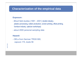## **Characterization of the empirical data**

#### **Exposure** :

- - BAuA field studies (1991 - 2001) (textile industry, plastics processing, rubber production, screen printing, offset printing, furniture industry, optician workshops)
- about 2000 personal sampling data

#### **Hazard:**

- OELs from German TRGS 900, vapours 174, dusts 56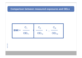#### **Comparison between measured exposures and OELs**

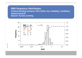**BWI frequency distribution Control banding scenario: EPL2 (litre, low volatility), ventilation, Hazard group B Branch: Screen printing** 

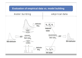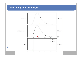## **Monte-Carlo Simulation**

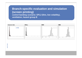## **Branch-specific evaluation and simulation (screen printing) control banding scenario: EPL2 (litre, low volatility), ventilation, hazard group B**

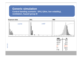#### **Generic simulationControl banding scenario: EPL2 (litre, low volatility), ventilation, hazard group B**

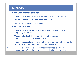## **Summary:**

#### **Evaluation of empirical data:**

- $\triangleright$  The empirical data reveal a relative high level of compliance
- ¾ But small data base for control strategy 1 only
- $\triangleright$  Hence further evaluation is needed!

#### **Simulation results:**

- $\triangleright$  The branch specific simulation can reproduce the empirical frequency distributions
- $\triangleright$  The generic simulation reveals that control banding does not guarantee compliance in either case
- $\triangleright$  The generic simulation shows that compliance was high for volatile liquids (hazard group C) used in closed systems
- $\triangleright$  There is also generic evidence that compliance is high for solids (hazard group B) in the presence of local exhaust ventilation